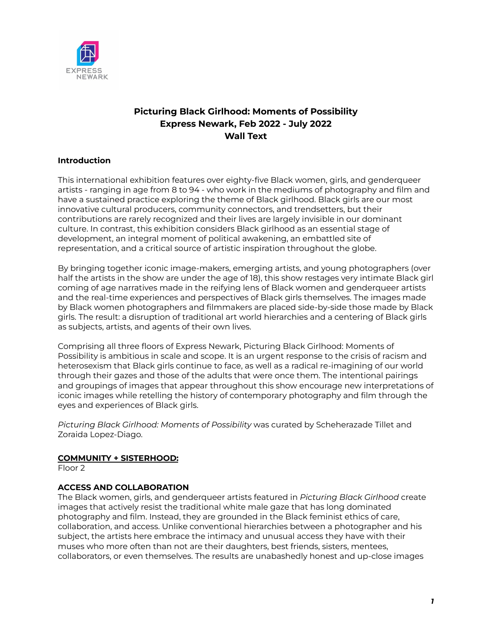

# **Picturing Black Girlhood: Moments of Possibility Express Newark, Feb 2022 - July 2022 Wall Text**

## **Introduction**

This international exhibition features over eighty-five Black women, girls, and genderqueer artists - ranging in age from 8 to 94 - who work in the mediums of photography and film and have a sustained practice exploring the theme of Black girlhood. Black girls are our most innovative cultural producers, community connectors, and trendsetters, but their contributions are rarely recognized and their lives are largely invisible in our dominant culture. In contrast, this exhibition considers Black girlhood as an essential stage of development, an integral moment of political awakening, an embattled site of representation, and a critical source of artistic inspiration throughout the globe.

By bringing together iconic image-makers, emerging artists, and young photographers (over half the artists in the show are under the age of 18), this show restages very intimate Black girl coming of age narratives made in the reifying lens of Black women and genderqueer artists and the real-time experiences and perspectives of Black girls themselves. The images made by Black women photographers and filmmakers are placed side-by-side those made by Black girls. The result: a disruption of traditional art world hierarchies and a centering of Black girls as subjects, artists, and agents of their own lives.

Comprising all three floors of Express Newark, Picturing Black Girlhood: Moments of Possibility is ambitious in scale and scope. It is an urgent response to the crisis of racism and heterosexism that Black girls continue to face, as well as a radical re-imagining of our world through their gazes and those of the adults that were once them. The intentional pairings and groupings of images that appear throughout this show encourage new interpretations of iconic images while retelling the history of contemporary photography and film through the eyes and experiences of Black girls.

*Picturing Black Girlhood: Moments of Possibility* was curated by Scheherazade Tillet and Zoraida Lopez-Diago.

### **COMMUNITY + SISTERHOOD:**

Floor 2

## **ACCESS AND COLLABORATION**

The Black women, girls, and genderqueer artists featured in *Picturing Black Girlhood* create images that actively resist the traditional white male gaze that has long dominated photography and film. Instead, they are grounded in the Black feminist ethics of care, collaboration, and access. Unlike conventional hierarchies between a photographer and his subject, the artists here embrace the intimacy and unusual access they have with their muses who more often than not are their daughters, best friends, sisters, mentees, collaborators, or even themselves. The results are unabashedly honest and up-close images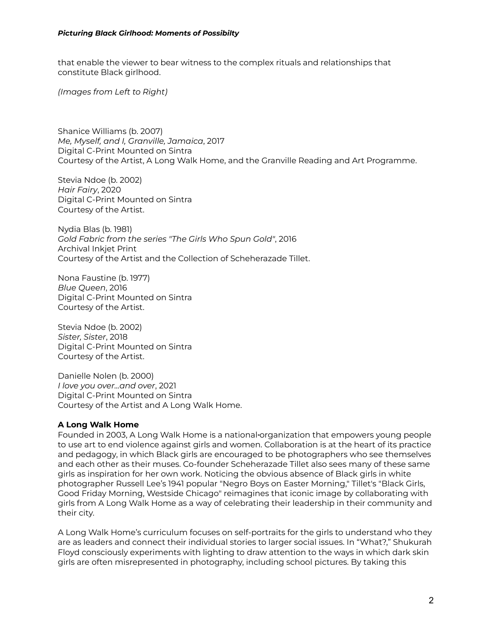that enable the viewer to bear witness to the complex rituals and relationships that constitute Black girlhood.

*(Images from Left to Right)*

Shanice Williams (b. 2007) *Me, Myself, and I, Granville, Jamaica*, 2017 Digital C-Print Mounted on Sintra Courtesy of the Artist, A Long Walk Home, and the Granville Reading and Art Programme.

Stevia Ndoe (b. 2002) *Hair Fairy*, 2020 Digital C-Print Mounted on Sintra Courtesy of the Artist.

Nydia Blas (b. 1981) *Gold Fabric from the series "The Girls Who Spun Gold"*, 2016 Archival Inkjet Print Courtesy of the Artist and the Collection of Scheherazade Tillet.

Nona Faustine (b. 1977) *Blue Queen*, 2016 Digital C-Print Mounted on Sintra Courtesy of the Artist.

Stevia Ndoe (b. 2002) *Sister, Sister*, 2018 Digital C-Print Mounted on Sintra Courtesy of the Artist.

Danielle Nolen (b. 2000) *I love you over...and over*, 2021 Digital C-Print Mounted on Sintra Courtesy of the Artist and A Long Walk Home.

### **A Long Walk Home**

Founded in 2003, A Long Walk Home is a national organization that empowers young people to use art to end violence against girls and women. Collaboration is at the heart of its practice and pedagogy, in which Black girls are encouraged to be photographers who see themselves and each other as their muses. Co-founder Scheherazade Tillet also sees many of these same girls as inspiration for her own work. Noticing the obvious absence of Black girls in white photographer Russell Lee's 1941 popular "Negro Boys on Easter Morning," Tillet's "Black Girls, Good Friday Morning, Westside Chicago" reimagines that iconic image by collaborating with girls from A Long Walk Home as a way of celebrating their leadership in their community and their city.

A Long Walk Home's curriculum focuses on self-portraits for the girls to understand who they are as leaders and connect their individual stories to larger social issues. In "What?," Shukurah Floyd consciously experiments with lighting to draw attention to the ways in which dark skin girls are often misrepresented in photography, including school pictures. By taking this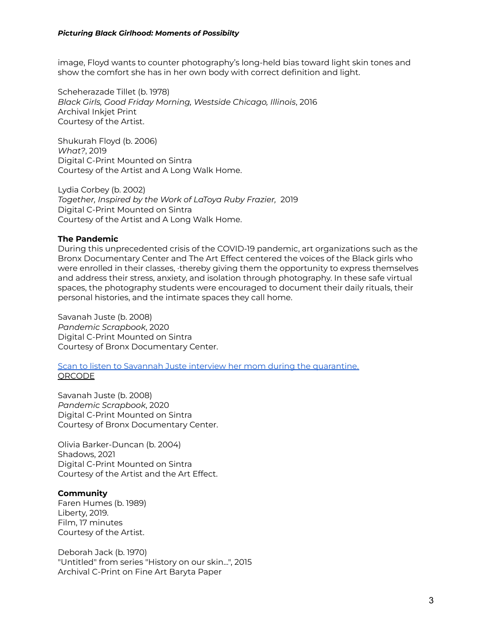image, Floyd wants to counter photography's long-held bias toward light skin tones and show the comfort she has in her own body with correct definition and light.

Scheherazade Tillet (b. 1978) *Black Girls, Good Friday Morning, Westside Chicago, Illinois*, 2016 Archival Inkjet Print Courtesy of the Artist.

Shukurah Floyd (b. 2006) *What?*, 2019 Digital C-Print Mounted on Sintra Courtesy of the Artist and A Long Walk Home.

Lydia Corbey (b. 2002) *Together, Inspired by the Work of LaToya Ruby Frazier,* 2019 Digital C-Print Mounted on Sintra Courtesy of the Artist and A Long Walk Home.

### **The Pandemic**

During this unprecedented crisis of the COVID-19 pandemic, art organizations such as the Bronx Documentary Center and The Art Effect centered the voices of the Black girls who were enrolled in their classes, thereby giving them the opportunity to express themselves and address their stress, anxiety, and isolation through photography. In these safe virtual spaces, the photography students were encouraged to document their daily rituals, their personal histories, and the intimate spaces they call home.

Savanah Juste (b. 2008) *Pandemic Scrapbook*, 2020 Digital C-Print Mounted on Sintra Courtesy of Bronx Documentary Center.

Scan to listen to Savannah Juste interview her mom during the [quarantine.](https://soundcloud.com/bronx-documentary-center/savannah-juste-quarantine-interview-with-mom?utm_campaign=social_sharing&utm_source=mobi&utm_terms=pfy_plays_part_2.pfy-plays) **ORCODE** 

Savanah Juste (b. 2008) *Pandemic Scrapbook*, 2020 Digital C-Print Mounted on Sintra Courtesy of Bronx Documentary Center.

Olivia Barker-Duncan (b. 2004) Shadows, 2021 Digital C-Print Mounted on Sintra Courtesy of the Artist and the Art Effect.

#### **Community**

Faren Humes (b. 1989) Liberty, 2019. Film, 17 minutes Courtesy of the Artist.

Deborah Jack (b. 1970) "Untitled" from series "History on our skin...", 2015 Archival C-Print on Fine Art Baryta Paper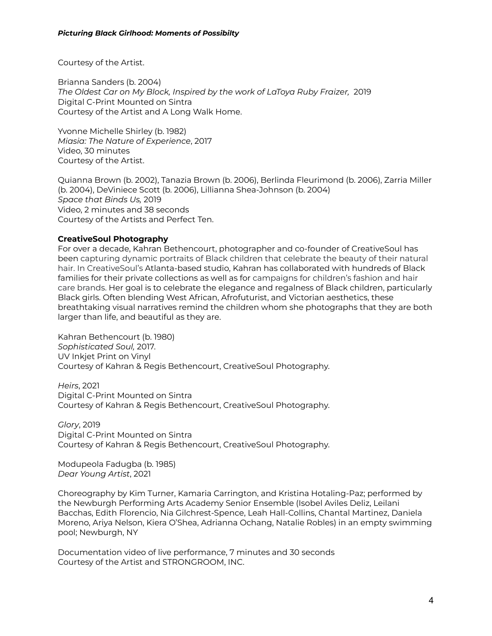Courtesy of the Artist.

Brianna Sanders (b. 2004) *The Oldest Car on My Block, Inspired by the work of LaToya Ruby Fraizer,* 2019 Digital C-Print Mounted on Sintra Courtesy of the Artist and A Long Walk Home.

Yvonne Michelle Shirley (b. 1982) *Miasia: The Nature of Experience*, 2017 Video, 30 minutes Courtesy of the Artist.

Quianna Brown (b. 2002), Tanazia Brown (b. 2006), Berlinda Fleurimond (b. 2006), Zarria Miller (b. 2004), DeViniece Scott (b. 2006), Lillianna Shea-Johnson (b. 2004) *Space that Binds Us,* 2019 Video, 2 minutes and 38 seconds Courtesy of the Artists and Perfect Ten.

## **CreativeSoul Photography**

For over a decade, Kahran Bethencourt, photographer and co-founder of CreativeSoul has been capturing dynamic portraits of Black children that celebrate the beauty of their natural hair. In CreativeSoul's Atlanta-based studio, Kahran has collaborated with hundreds of Black families for their private collections as well as for campaigns for children's fashion and hair care brands. Her goal is to celebrate the elegance and regalness of Black children, particularly Black girls. Often blending West African, Afrofuturist, and Victorian aesthetics, these breathtaking visual narratives remind the children whom she photographs that they are both larger than life, and beautiful as they are.

Kahran Bethencourt (b. 1980) *Sophisticated Soul,* 2017. UV Inkjet Print on Vinyl Courtesy of Kahran & Regis Bethencourt, CreativeSoul Photography.

*Heirs*, 2021 Digital C-Print Mounted on Sintra Courtesy of Kahran & Regis Bethencourt, CreativeSoul Photography.

*Glory*, 2019 Digital C-Print Mounted on Sintra Courtesy of Kahran & Regis Bethencourt, CreativeSoul Photography.

Modupeola Fadugba (b. 1985) *Dear Young Artist*, 2021

Choreography by Kim Turner, Kamaria Carrington, and Kristina Hotaling-Paz; performed by the Newburgh Performing Arts Academy Senior Ensemble (Isobel Aviles Deliz, Leilani Bacchas, Edith Florencio, Nia Gilchrest-Spence, Leah Hall-Collins, Chantal Martinez, Daniela Moreno, Ariya Nelson, Kiera O'Shea, Adrianna Ochang, Natalie Robles) in an empty swimming pool; Newburgh, NY

Documentation video of live performance, 7 minutes and 30 seconds Courtesy of the Artist and STRONGROOM, INC.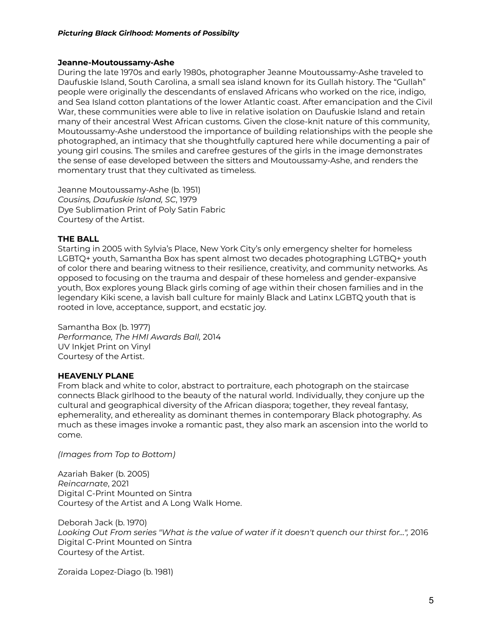#### **Jeanne-Moutoussamy-Ashe**

During the late 1970s and early 1980s, photographer Jeanne Moutoussamy-Ashe traveled to Daufuskie Island, South Carolina, a small sea island known for its Gullah history. The "Gullah" people were originally the descendants of enslaved Africans who worked on the rice, indigo, and Sea Island cotton plantations of the lower Atlantic coast. After emancipation and the Civil War, these communities were able to live in relative isolation on Daufuskie Island and retain many of their ancestral West African customs. Given the close-knit nature of this community, Moutoussamy-Ashe understood the importance of building relationships with the people she photographed, an intimacy that she thoughtfully captured here while documenting a pair of young girl cousins. The smiles and carefree gestures of the girls in the image demonstrates the sense of ease developed between the sitters and Moutoussamy-Ashe, and renders the momentary trust that they cultivated as timeless.

Jeanne Moutoussamy-Ashe (b. 1951) *Cousins, Daufuskie Island, SC*, 1979 Dye Sublimation Print of Poly Satin Fabric Courtesy of the Artist.

#### **THE BALL**

Starting in 2005 with Sylvia's Place, New York City's only emergency shelter for homeless LGBTQ+ youth, Samantha Box has spent almost two decades photographing LGTBQ+ youth of color there and bearing witness to their resilience, creativity, and community networks. As opposed to focusing on the trauma and despair of these homeless and gender-expansive youth, Box explores young Black girls coming of age within their chosen families and in the legendary Kiki scene, a lavish ball culture for mainly Black and Latinx LGBTQ youth that is rooted in love, acceptance, support, and ecstatic joy.

Samantha Box (b. 1977) *Performance, The HMI Awards Ball,* 2014 UV Inkjet Print on Vinyl Courtesy of the Artist.

## **HEAVENLY PLANE**

From black and white to color, abstract to portraiture, each photograph on the staircase connects Black girlhood to the beauty of the natural world. Individually, they conjure up the cultural and geographical diversity of the African diaspora; together, they reveal fantasy, ephemerality, and ethereality as dominant themes in contemporary Black photography. As much as these images invoke a romantic past, they also mark an ascension into the world to come.

*(Images from Top to Bottom)*

Azariah Baker (b. 2005) *Reincarnate*, 2021 Digital C-Print Mounted on Sintra Courtesy of the Artist and A Long Walk Home.

Deborah Jack (b. 1970) *Looking Out From series "What is the value of water if it doesn't quench our thirst for...",* 2016 Digital C-Print Mounted on Sintra Courtesy of the Artist.

Zoraida Lopez-Diago (b. 1981)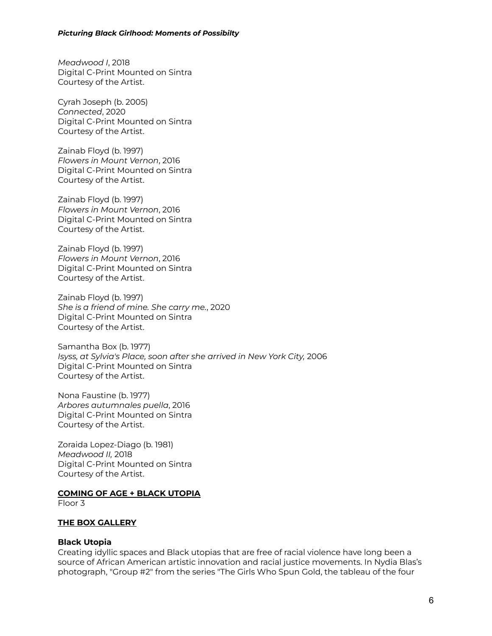*Meadwood I*, 2018 Digital C-Print Mounted on Sintra Courtesy of the Artist.

Cyrah Joseph (b. 2005) *Connected*, 2020 Digital C-Print Mounted on Sintra Courtesy of the Artist.

Zainab Floyd (b. 1997) *Flowers in Mount Vernon*, 2016 Digital C-Print Mounted on Sintra Courtesy of the Artist.

Zainab Floyd (b. 1997) *Flowers in Mount Vernon*, 2016 Digital C-Print Mounted on Sintra Courtesy of the Artist.

Zainab Floyd (b. 1997) *Flowers in Mount Vernon*, 2016 Digital C-Print Mounted on Sintra Courtesy of the Artist.

Zainab Floyd (b. 1997) *She is a friend of mine. She carry me.*, 2020 Digital C-Print Mounted on Sintra Courtesy of the Artist.

Samantha Box (b. 1977) *Isyss, at Sylvia's Place, soon after she arrived in New York City,* 2006 Digital C-Print Mounted on Sintra Courtesy of the Artist.

Nona Faustine (b. 1977) *Arbores autumnales puella*, 2016 Digital C-Print Mounted on Sintra Courtesy of the Artist.

Zoraida Lopez-Diago (b. 1981) *Meadwood II,* 2018 Digital C-Print Mounted on Sintra Courtesy of the Artist.

### **COMING OF AGE + BLACK UTOPIA**

Floor 3

### **THE BOX GALLERY**

#### **Black Utopia**

Creating idyllic spaces and Black utopias that are free of racial violence have long been a source of African American artistic innovation and racial justice movements. In Nydia Blas's photograph, "Group #2" from the series "The Girls Who Spun Gold, the tableau of the four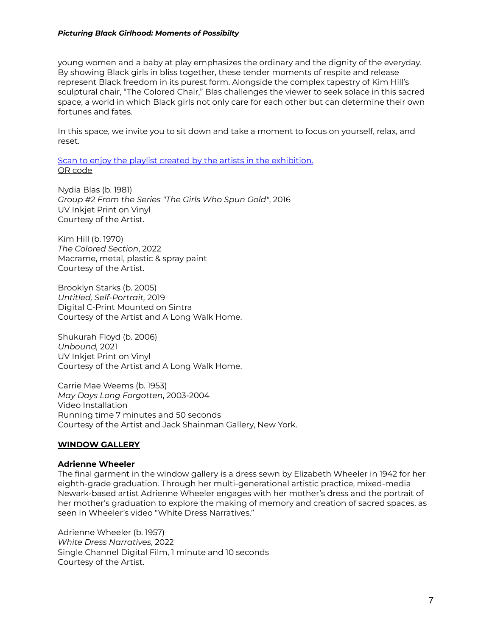young women and a baby at play emphasizes the ordinary and the dignity of the everyday. By showing Black girls in bliss together, these tender moments of respite and release represent Black freedom in its purest form. Alongside the complex tapestry of Kim Hill's sculptural chair, "The Colored Chair," Blas challenges the viewer to seek solace in this sacred space, a world in which Black girls not only care for each other but can determine their own fortunes and fates.

In this space, we invite you to sit down and take a moment to focus on yourself, relax, and reset.

Scan to enjoy the playlist created by the artists in the [exhibition.](https://open.spotify.com/playlist/5KiZMHw5Iueddp7KNHjDNk?si=eToi3APHSyWY88Xb5znR_Q) QR [code](https://drive.google.com/file/d/1u1nGoER06gfwajENRmDo1Uzuw42aUjLp/view?usp=sharing)

Nydia Blas (b. 1981) *Group #2 From the Series "The Girls Who Spun Gold"*, 2016 UV Inkjet Print on Vinyl Courtesy of the Artist.

Kim Hill (b. 1970) *The Colored Section*, 2022 Macrame, metal, plastic & spray paint Courtesy of the Artist.

Brooklyn Starks (b. 2005) *Untitled, Self-Portrait,* 2019 Digital C-Print Mounted on Sintra Courtesy of the Artist and A Long Walk Home.

Shukurah Floyd (b. 2006) *Unbound,* 2021 UV Inkjet Print on Vinyl Courtesy of the Artist and A Long Walk Home.

Carrie Mae Weems (b. 1953) *May Days Long Forgotten*, 2003-2004 Video Installation Running time 7 minutes and 50 seconds Courtesy of the Artist and Jack Shainman Gallery, New York.

### **WINDOW GALLERY**

#### **Adrienne Wheeler**

The final garment in the window gallery is a dress sewn by Elizabeth Wheeler in 1942 for her eighth-grade graduation. Through her multi-generational artistic practice, mixed-media Newark-based artist Adrienne Wheeler engages with her mother's dress and the portrait of her mother's graduation to explore the making of memory and creation of sacred spaces, as seen in Wheeler's video "White Dress Narratives."

Adrienne Wheeler (b. 1957) *White Dress Narratives*, 2022 Single Channel Digital Film, 1 minute and 10 seconds Courtesy of the Artist.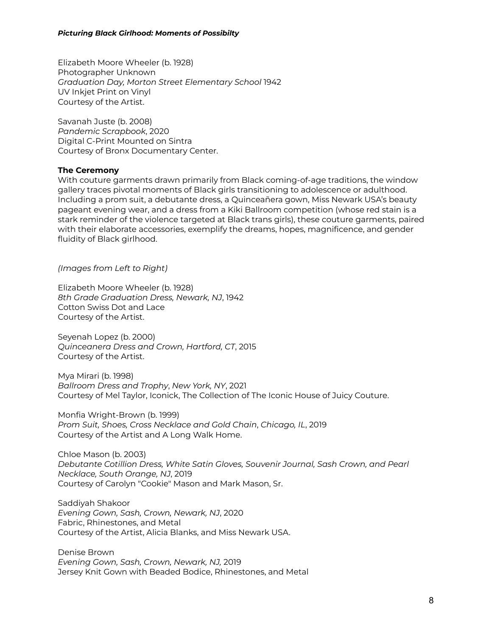Elizabeth Moore Wheeler (b. 1928) Photographer Unknown *Graduation Day, Morton Street Elementary School* 1942 UV Inkjet Print on Vinyl Courtesy of the Artist.

Savanah Juste (b. 2008) *Pandemic Scrapbook*, 2020 Digital C-Print Mounted on Sintra Courtesy of Bronx Documentary Center.

#### **The Ceremony**

With couture garments drawn primarily from Black coming-of-age traditions, the window gallery traces pivotal moments of Black girls transitioning to adolescence or adulthood. Including a prom suit, a debutante dress, a Quinceañera gown, Miss Newark USA's beauty pageant evening wear, and a dress from a Kiki Ballroom competition (whose red stain is a stark reminder of the violence targeted at Black trans girls), these couture garments, paired with their elaborate accessories, exemplify the dreams, hopes, magnificence, and gender fluidity of Black girlhood.

*(Images from Left to Right)*

Elizabeth Moore Wheeler (b. 1928) *8th Grade Graduation Dress, Newark, NJ*, 1942 Cotton Swiss Dot and Lace Courtesy of the Artist.

Seyenah Lopez (b. 2000) *Quinceanera Dress and Crown, Hartford, CT*, 2015 Courtesy of the Artist.

Mya Mirari (b. 1998) *Ballroom Dress and Trophy*, *New York, NY*, 2021 Courtesy of Mel Taylor, Iconick, The Collection of The Iconic House of Juicy Couture.

Monfia Wright-Brown (b. 1999) *Prom Suit, Shoes, Cross Necklace and Gold Chain*, *Chicago, IL*, 2019 Courtesy of the Artist and A Long Walk Home.

Chloe Mason (b. 2003) *Debutante Cotillion Dress, White Satin Gloves, Souvenir Journal, Sash Crown, and Pearl Necklace, South Orange, NJ*, 2019 Courtesy of Carolyn "Cookie" Mason and Mark Mason, Sr.

Saddiyah Shakoor *Evening Gown, Sash, Crown, Newark, NJ*, 2020 Fabric, Rhinestones, and Metal Courtesy of the Artist, Alicia Blanks, and Miss Newark USA.

Denise Brown *Evening Gown, Sash, Crown, Newark, NJ,* 2019 Jersey Knit Gown with Beaded Bodice, Rhinestones, and Metal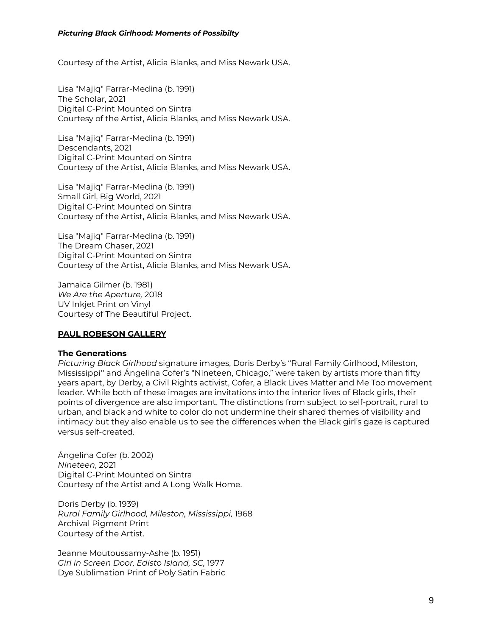Courtesy of the Artist, Alicia Blanks, and Miss Newark USA.

Lisa "Majiq" Farrar-Medina (b. 1991) The Scholar, 2021 Digital C-Print Mounted on Sintra Courtesy of the Artist, Alicia Blanks, and Miss Newark USA.

Lisa "Majiq" Farrar-Medina (b. 1991) Descendants, 2021 Digital C-Print Mounted on Sintra Courtesy of the Artist, Alicia Blanks, and Miss Newark USA.

Lisa "Majiq" Farrar-Medina (b. 1991) Small Girl, Big World, 2021 Digital C-Print Mounted on Sintra Courtesy of the Artist, Alicia Blanks, and Miss Newark USA.

Lisa "Majiq" Farrar-Medina (b. 1991) The Dream Chaser, 2021 Digital C-Print Mounted on Sintra Courtesy of the Artist, Alicia Blanks, and Miss Newark USA.

Jamaica Gilmer (b. 1981) *We Are the Aperture,* 2018 UV Inkjet Print on Vinyl Courtesy of The Beautiful Project.

### **PAUL ROBESON GALLERY**

#### **The Generations**

*Picturing Black Girlhood* signature images, Doris Derby's "Rural Family Girlhood, Mileston, Mississippi'' and Ángelina Cofer's "Nineteen, Chicago," were taken by artists more than fifty years apart, by Derby, a Civil Rights activist, Cofer, a Black Lives Matter and Me Too movement leader. While both of these images are invitations into the interior lives of Black girls, their points of divergence are also important. The distinctions from subject to self-portrait, rural to urban, and black and white to color do not undermine their shared themes of visibility and intimacy but they also enable us to see the differences when the Black girl's gaze is captured versus self-created.

Ángelina Cofer (b. 2002) *Nineteen*, 2021 Digital C-Print Mounted on Sintra Courtesy of the Artist and A Long Walk Home.

Doris Derby (b. 1939) *Rural Family Girlhood, Mileston, Mississippi,* 1968 Archival Pigment Print Courtesy of the Artist.

Jeanne Moutoussamy-Ashe (b. 1951) *Girl in Screen Door, Edisto Island, SC,* 1977 Dye Sublimation Print of Poly Satin Fabric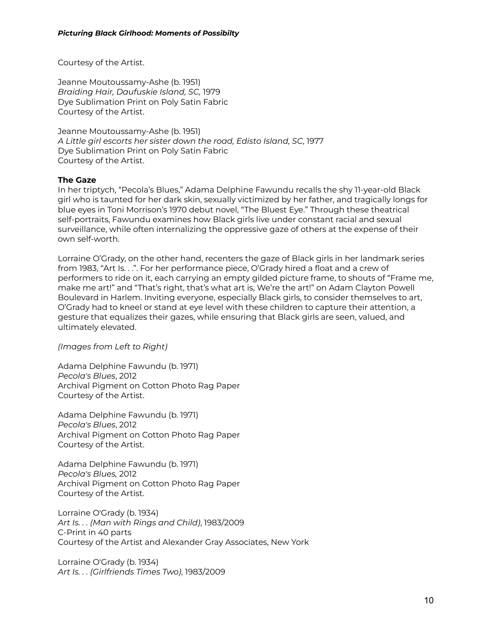Courtesy of the Artist.

Jeanne Moutoussamy-Ashe (b. 1951) *Braiding Hair, Daufuskie Island, SC,* 1979 Dye Sublimation Print on Poly Satin Fabric Courtesy of the Artist.

Jeanne Moutoussamy-Ashe (b. 1951) *A Little girl escorts her sister down the road, Edisto Island, SC*, 1977 Dye Sublimation Print on Poly Satin Fabric Courtesy of the Artist.

### **The Gaze**

In her triptych, "Pecola's Blues," Adama Delphine Fawundu recalls the shy 11-year-old Black girl who is taunted for her dark skin, sexually victimized by her father, and tragically longs for blue eyes in Toni Morrison's 1970 debut novel, "The Bluest Eye." Through these theatrical self-portraits, Fawundu examines how Black girls live under constant racial and sexual surveillance, while often internalizing the oppressive gaze of others at the expense of their own self-worth.

Lorraine O'Grady, on the other hand, recenters the gaze of Black girls in her landmark series from 1983, "Art Is. . .". For her performance piece, O'Grady hired a float and a crew of performers to ride on it, each carrying an empty gilded picture frame, to shouts of "Frame me, make me art!" and "That's right, that's what art is, We're the art!" on Adam Clayton Powell Boulevard in Harlem. Inviting everyone, especially Black girls, to consider themselves to art, O'Grady had to kneel or stand at eye level with these children to capture their attention, a gesture that equalizes their gazes, while ensuring that Black girls are seen, valued, and ultimately elevated.

*(Images from Left to Right)*

Adama Delphine Fawundu (b. 1971) *Pecola's Blues*, 2012 Archival Pigment on Cotton Photo Rag Paper Courtesy of the Artist.

Adama Delphine Fawundu (b. 1971) *Pecola's Blues*, 2012 Archival Pigment on Cotton Photo Rag Paper Courtesy of the Artist.

Adama Delphine Fawundu (b. 1971) *Pecola's Blues,* 2012 Archival Pigment on Cotton Photo Rag Paper Courtesy of the Artist.

Lorraine O'Grady (b. 1934) *Art Is. . . (Man with Rings and Child)*, 1983/2009 C-Print in 40 parts Courtesy of the Artist and Alexander Gray Associates, New York

Lorraine O'Grady (b. 1934) *Art Is. . . (Girlfriends Times Two)*, 1983/2009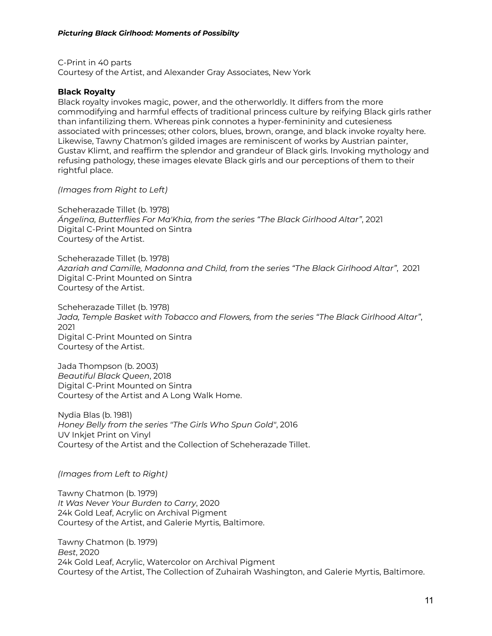C-Print in 40 parts Courtesy of the Artist, and Alexander Gray Associates, New York

### **Black Royalty**

Black royalty invokes magic, power, and the otherworldly. It differs from the more commodifying and harmful effects of traditional princess culture by reifying Black girls rather than infantilizing them. Whereas pink connotes a hyper-femininity and cutesieness associated with princesses; other colors, blues, brown, orange, and black invoke royalty here. Likewise, Tawny Chatmon's gilded images are reminiscent of works by Austrian painter, Gustav Klimt, and reaffirm the splendor and grandeur of Black girls. Invoking mythology and refusing pathology, these images elevate Black girls and our perceptions of them to their rightful place.

*(Images from Right to Left)*

Scheherazade Tillet (b. 1978) *Ángelina, Butterflies For Ma'Khia, from the series "The Black Girlhood Altar"*, 2021 Digital C-Print Mounted on Sintra Courtesy of the Artist.

Scheherazade Tillet (b. 1978) *Azariah and Camille, Madonna and Child, from the series "The Black Girlhood Altar"*, 2021 Digital C-Print Mounted on Sintra Courtesy of the Artist.

Scheherazade Tillet (b. 1978) *Jada, Temple Basket with Tobacco and Flowers, from the series "The Black Girlhood Altar"*, 2021 Digital C-Print Mounted on Sintra Courtesy of the Artist.

Jada Thompson (b. 2003) *Beautiful Black Queen*, 2018 Digital C-Print Mounted on Sintra Courtesy of the Artist and A Long Walk Home.

Nydia Blas (b. 1981) *Honey Belly from the series "The Girls Who Spun Gold"*, 2016 UV Inkjet Print on Vinyl Courtesy of the Artist and the Collection of Scheherazade Tillet.

*(Images from Left to Right)*

Tawny Chatmon (b. 1979) *It Was Never Your Burden to Carry*, 2020 24k Gold Leaf, Acrylic on Archival Pigment Courtesy of the Artist, and Galerie Myrtis, Baltimore.

Tawny Chatmon (b. 1979) *Best*, 2020 24k Gold Leaf, Acrylic, Watercolor on Archival Pigment Courtesy of the Artist, The Collection of Zuhairah Washington, and Galerie Myrtis, Baltimore.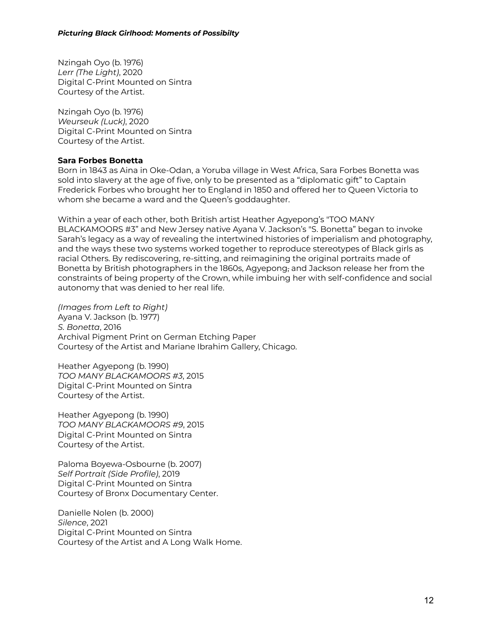Nzingah Oyo (b. 1976) *Lerr (The Light)*, 2020 Digital C-Print Mounted on Sintra Courtesy of the Artist.

Nzingah Oyo (b. 1976) *Weurseuk (Luck)*, 2020 Digital C-Print Mounted on Sintra Courtesy of the Artist.

### **Sara Forbes Bonetta**

Born in 1843 as Aina in Oke-Odan, a Yoruba village in West Africa, Sara Forbes Bonetta was sold into slavery at the age of five, only to be presented as a "diplomatic gift" to Captain Frederick Forbes who brought her to England in 1850 and offered her to Queen Victoria to whom she became a ward and the Queen's goddaughter.

Within a year of each other, both British artist Heather Agyepong's "TOO MANY BLACKAMOORS #3" and New Jersey native Ayana V. Jackson's "S. Bonetta" began to invoke Sarah's legacy as a way of revealing the intertwined histories of imperialism and photography, and the ways these two systems worked together to reproduce stereotypes of Black girls as racial Others. By rediscovering, re-sitting, and reimagining the original portraits made of Bonetta by British photographers in the 1860s, Agyepong, and Jackson release her from the constraints of being property of the Crown, while imbuing her with self-confidence and social autonomy that was denied to her real life.

*(Images from Left to Right)* Ayana V. Jackson (b. 1977) *S. Bonetta*, 2016 Archival Pigment Print on German Etching Paper Courtesy of the Artist and Mariane Ibrahim Gallery, Chicago.

Heather Agyepong (b. 1990) *TOO MANY BLACKAMOORS #3*, 2015 Digital C-Print Mounted on Sintra Courtesy of the Artist.

Heather Agyepong (b. 1990) *TOO MANY BLACKAMOORS #9*, 2015 Digital C-Print Mounted on Sintra Courtesy of the Artist.

Paloma Boyewa-Osbourne (b. 2007) *Self Portrait (Side Profile)*, 2019 Digital C-Print Mounted on Sintra Courtesy of Bronx Documentary Center.

Danielle Nolen (b. 2000) *Silence*, 2021 Digital C-Print Mounted on Sintra Courtesy of the Artist and A Long Walk Home.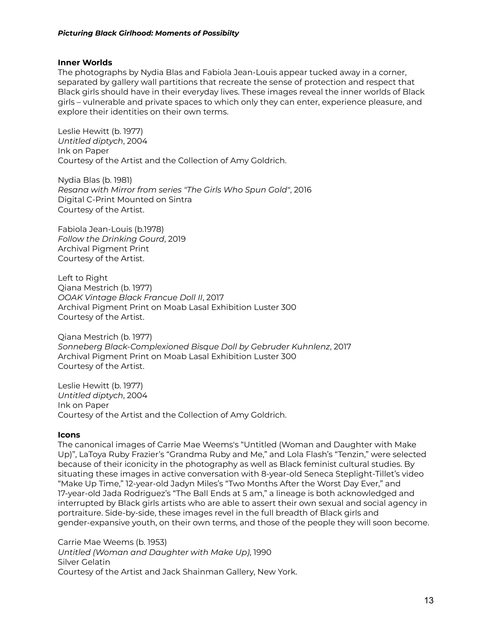#### **Inner Worlds**

The photographs by Nydia Blas and Fabiola Jean-Louis appear tucked away in a corner, separated by gallery wall partitions that recreate the sense of protection and respect that Black girls should have in their everyday lives. These images reveal the inner worlds of Black girls – vulnerable and private spaces to which only they can enter, experience pleasure, and explore their identities on their own terms.

Leslie Hewitt (b. 1977) *Untitled diptych*, 2004 Ink on Paper Courtesy of the Artist and the Collection of Amy Goldrich.

Nydia Blas (b. 1981) *Resana with Mirror from series "The Girls Who Spun Gold"*, 2016 Digital C-Print Mounted on Sintra Courtesy of the Artist.

Fabiola Jean-Louis (b.1978) *Follow the Drinking Gourd*, 2019 Archival Pigment Print Courtesy of the Artist.

Left to Right Qiana Mestrich (b. 1977) *OOAK Vintage Black Francue Doll II*, 2017 Archival Pigment Print on Moab Lasal Exhibition Luster 300 Courtesy of the Artist.

Qiana Mestrich (b. 1977) *Sonneberg Black-Complexioned Bisque Doll by Gebruder Kuhnlenz*, 2017 Archival Pigment Print on Moab Lasal Exhibition Luster 300 Courtesy of the Artist.

Leslie Hewitt (b. 1977) *Untitled diptych*, 2004 Ink on Paper Courtesy of the Artist and the Collection of Amy Goldrich.

### **Icons**

The canonical images of Carrie Mae Weems's "Untitled (Woman and Daughter with Make Up)", LaToya Ruby Frazier's "Grandma Ruby and Me," and Lola Flash's "Tenzin," were selected because of their iconicity in the photography as well as Black feminist cultural studies. By situating these images in active conversation with 8-year-old Seneca Steplight-Tillet's video "Make Up Time," 12-year-old Jadyn Miles's "Two Months After the Worst Day Ever," and 17-year-old Jada Rodriguez's "The Ball Ends at 5 am," a lineage is both acknowledged and interrupted by Black girls artists who are able to assert their own sexual and social agency in portraiture. Side-by-side, these images revel in the full breadth of Black girls and gender-expansive youth, on their own terms, and those of the people they will soon become.

Carrie Mae Weems (b. 1953) *Untitled (Woman and Daughter with Make Up)*, 1990 Silver Gelatin Courtesy of the Artist and Jack Shainman Gallery, New York.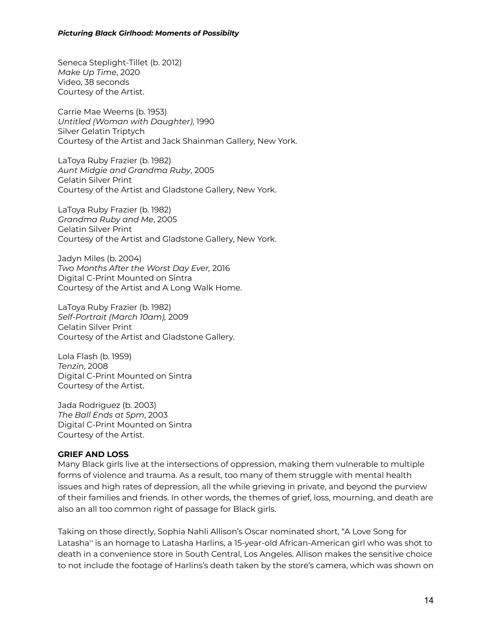Seneca Steplight-Tillet (b. 2012) *Make Up Time*, 2020 Video, 38 seconds Courtesy of the Artist.

Carrie Mae Weems (b. 1953) *Untitled (Woman with Daughter)*, 1990 Silver Gelatin Triptych Courtesy of the Artist and Jack Shainman Gallery, New York.

LaToya Ruby Frazier (b. 1982) *Aunt Midgie and Grandma Ruby*, 2005 Gelatin Silver Print Courtesy of the Artist and Gladstone Gallery, New York.

LaToya Ruby Frazier (b. 1982) *Grandma Ruby and Me*, 2005 Gelatin Silver Print Courtesy of the Artist and Gladstone Gallery, New York.

Jadyn Miles (b. 2004) *Two Months After the Worst Day Ever,* 2016 Digital C-Print Mounted on Sintra Courtesy of the Artist and A Long Walk Home.

LaToya Ruby Frazier (b. 1982) *Self-Portrait (March 10am),* 2009 Gelatin Silver Print Courtesy of the Artist and Gladstone Gallery.

Lola Flash (b. 1959) *Tenzin*, 2008 Digital C-Print Mounted on Sintra Courtesy of the Artist.

Jada Rodriguez (b. 2003) *The Ball Ends at 5pm*, 2003 Digital C-Print Mounted on Sintra Courtesy of the Artist.

### **GRIEF AND LOSS**

Many Black girls live at the intersections of oppression, making them vulnerable to multiple forms of violence and trauma. As a result, too many of them struggle with mental health issues and high rates of depression, all the while grieving in private, and beyond the purview of their families and friends. In other words, the themes of grief, loss, mourning, and death are also an all too common right of passage for Black girls.

Taking on those directly, Sophia Nahli Allison's Oscar nominated short, "A Love Song for Latasha'' is an homage to Latasha Harlins, a 15-year-old African-American girl who was shot to death in a convenience store in South Central, Los Angeles. Allison makes the sensitive choice to not include the footage of Harlins's death taken by the store's camera, which was shown on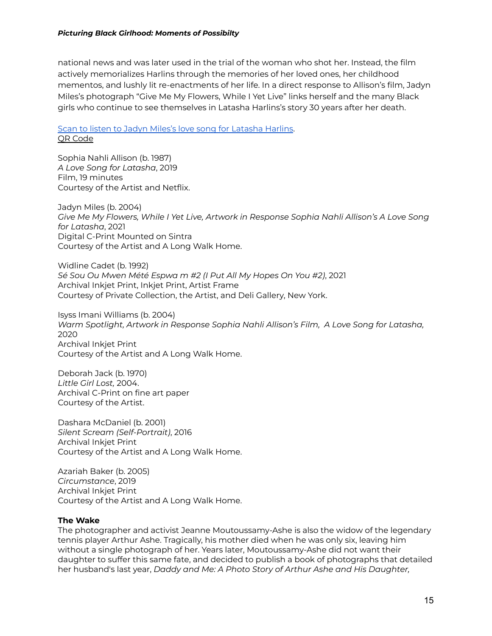national news and was later used in the trial of the woman who shot her. Instead, the film actively memorializes Harlins through the memories of her loved ones, her childhood mementos, and lushly lit re-enactments of her life. In a direct response to Allison's film, Jadyn Miles's photograph "Give Me My Flowers, While I Yet Live" links herself and the many Black girls who continue to see themselves in Latasha Harlins's story 30 years after her death.

## Scan to listen to Jadyn Miles's love song for [Latasha](https://soundcloud.com/user-391524914-85140781/a-love-song-for-latasha?si=51bebe9a7ea54853b0072342f34f2276&utm_source=clipboard&utm_medium=text&utm_campaign=social_sharingfk-8W0dK8ch/view?usp=sharing) Harlins. QR [Code](https://drive.google.com/file/d/1-hqCWEpHi3XLEuIoZvRqVauvOUrpX8lZ/view?usp=sharing)

Sophia Nahli Allison (b. 1987) *A Love Song for Latasha*, 2019 Film, 19 minutes Courtesy of the Artist and Netflix.

Jadyn Miles (b. 2004) *Give Me My Flowers, While I Yet Live, Artwork in Response Sophia Nahli Allison's A Love Song for Latasha*, 2021 Digital C-Print Mounted on Sintra Courtesy of the Artist and A Long Walk Home.

Widline Cadet (b. 1992) *Sé Sou Ou Mwen Mété Espwa m #2 (I Put All My Hopes On You #2)*, 2021 Archival Inkjet Print, Inkjet Print, Artist Frame Courtesy of Private Collection, the Artist, and Deli Gallery, New York.

Isyss Imani Williams (b. 2004) *Warm Spotlight, Artwork in Response Sophia Nahli Allison's Film, A Love Song for Latasha,* 2020 Archival Inkjet Print Courtesy of the Artist and A Long Walk Home.

Deborah Jack (b. 1970) *Little Girl Lost,* 2004. Archival C-Print on fine art paper Courtesy of the Artist.

Dashara McDaniel (b. 2001) *Silent Scream (Self-Portrait)*, 2016 Archival Inkjet Print Courtesy of the Artist and A Long Walk Home.

Azariah Baker (b. 2005) *Circumstance*, 2019 Archival Inkjet Print Courtesy of the Artist and A Long Walk Home.

### **The Wake**

The photographer and activist Jeanne Moutoussamy-Ashe is also the widow of the legendary tennis player Arthur Ashe. Tragically, his mother died when he was only six, leaving him without a single photograph of her. Years later, Moutoussamy-Ashe did not want their daughter to suffer this same fate, and decided to publish a book of photographs that detailed her husband's last year, *Daddy and Me: A Photo Story of Arthur Ashe and His Daughter,*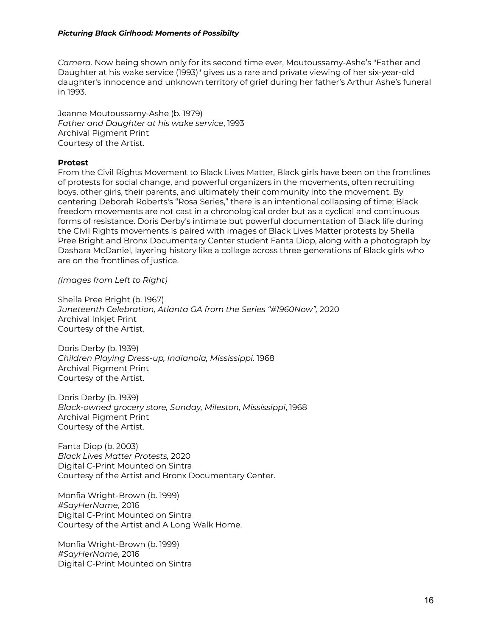*Camera*. Now being shown only for its second time ever, Moutoussamy-Ashe's "Father and Daughter at his wake service (1993)" gives us a rare and private viewing of her six-year-old daughter's innocence and unknown territory of grief during her father's Arthur Ashe's funeral in 1993.

Jeanne Moutoussamy-Ashe (b. 1979) *Father and Daughter at his wake service*, 1993 Archival Pigment Print Courtesy of the Artist.

### **Protest**

From the Civil Rights Movement to Black Lives Matter, Black girls have been on the frontlines of protests for social change, and powerful organizers in the movements, often recruiting boys, other girls, their parents, and ultimately their community into the movement. By centering Deborah Roberts's "Rosa Series," there is an intentional collapsing of time; Black freedom movements are not cast in a chronological order but as a cyclical and continuous forms of resistance. Doris Derby's intimate but powerful documentation of Black life during the Civil Rights movements is paired with images of Black Lives Matter protests by Sheila Pree Bright and Bronx Documentary Center student Fanta Diop, along with a photograph by Dashara McDaniel, layering history like a collage across three generations of Black girls who are on the frontlines of justice.

*(Images from Left to Right)*

Sheila Pree Bright (b. 1967) *Juneteenth Celebration, Atlanta GA from the Series "#1960Now",* 2020 Archival Inkjet Print Courtesy of the Artist.

Doris Derby (b. 1939) *Children Playing Dress-up, Indianola, Mississippi,* 1968 Archival Pigment Print Courtesy of the Artist.

Doris Derby (b. 1939) *Black-owned grocery store, Sunday, Mileston, Mississippi*, 1968 Archival Pigment Print Courtesy of the Artist.

Fanta Diop (b. 2003) *Black Lives Matter Protests,* 2020 Digital C-Print Mounted on Sintra Courtesy of the Artist and Bronx Documentary Center.

Monfia Wright-Brown (b. 1999) *#SayHerName*, 2016 Digital C-Print Mounted on Sintra Courtesy of the Artist and A Long Walk Home.

Monfia Wright-Brown (b. 1999) *#SayHerName*, 2016 Digital C-Print Mounted on Sintra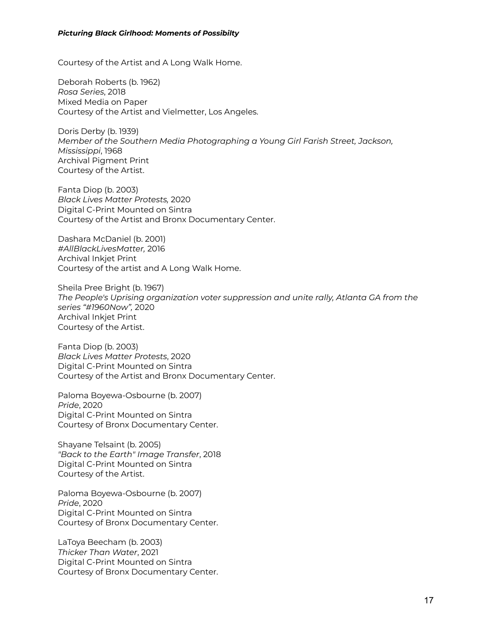Courtesy of the Artist and A Long Walk Home.

Deborah Roberts (b. 1962) *Rosa Series*, 2018 Mixed Media on Paper Courtesy of the Artist and Vielmetter, Los Angeles.

Doris Derby (b. 1939) *Member of the Southern Media Photographing a Young Girl Farish Street, Jackson, Mississippi*, 1968 Archival Pigment Print Courtesy of the Artist.

Fanta Diop (b. 2003) *Black Lives Matter Protests,* 2020 Digital C-Print Mounted on Sintra Courtesy of the Artist and Bronx Documentary Center.

Dashara McDaniel (b. 2001) *#AllBlackLivesMatter,* 2016 Archival Inkjet Print Courtesy of the artist and A Long Walk Home.

Sheila Pree Bright (b. 1967) *The People's Uprising organization voter suppression and unite rally, Atlanta GA from the series "#1960Now",* 2020 Archival Inkjet Print Courtesy of the Artist.

Fanta Diop (b. 2003) *Black Lives Matter Protests*, 2020 Digital C-Print Mounted on Sintra Courtesy of the Artist and Bronx Documentary Center.

Paloma Boyewa-Osbourne (b. 2007) *Pride*, 2020 Digital C-Print Mounted on Sintra Courtesy of Bronx Documentary Center.

Shayane Telsaint (b. 2005) *"Back to the Earth" Image Transfer*, 2018 Digital C-Print Mounted on Sintra Courtesy of the Artist.

Paloma Boyewa-Osbourne (b. 2007) *Pride*, 2020 Digital C-Print Mounted on Sintra Courtesy of Bronx Documentary Center.

LaToya Beecham (b. 2003) *Thicker Than Water*, 2021 Digital C-Print Mounted on Sintra Courtesy of Bronx Documentary Center.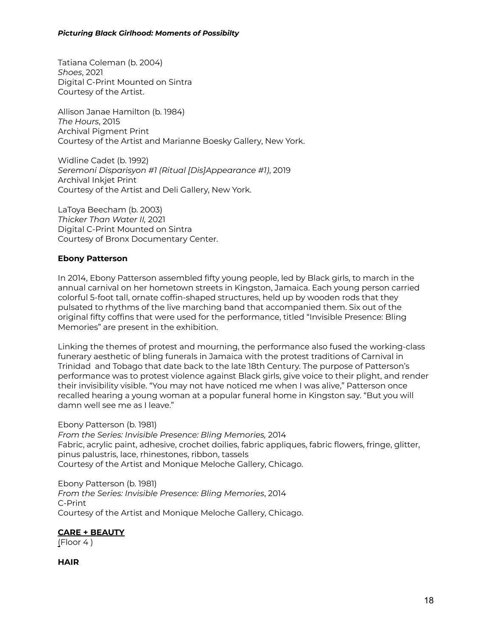Tatiana Coleman (b. 2004) *Shoes*, 2021 Digital C-Print Mounted on Sintra Courtesy of the Artist.

Allison Janae Hamilton (b. 1984) *The Hours*, 2015 Archival Pigment Print Courtesy of the Artist and Marianne Boesky Gallery, New York.

Widline Cadet (b. 1992) *Seremoni Disparisyon #1 (Ritual [Dis]Appearance #1)*, 2019 Archival Inkjet Print Courtesy of the Artist and Deli Gallery, New York.

LaToya Beecham (b. 2003) *Thicker Than Water II,* 2021 Digital C-Print Mounted on Sintra Courtesy of Bronx Documentary Center.

## **Ebony Patterson**

In 2014, Ebony Patterson assembled fifty young people, led by Black girls, to march in the annual carnival on her hometown streets in Kingston, Jamaica. Each young person carried colorful 5-foot tall, ornate coffin-shaped structures, held up by wooden rods that they pulsated to rhythms of the live marching band that accompanied them. Six out of the original fifty coffins that were used for the performance, titled "Invisible Presence: Bling Memories" are present in the exhibition.

Linking the themes of protest and mourning, the performance also fused the working-class funerary aesthetic of bling funerals in Jamaica with the protest traditions of Carnival in Trinidad and Tobago that date back to the late 18th Century. The purpose of Patterson's performance was to protest violence against Black girls, give voice to their plight, and render their invisibility visible. "You may not have noticed me when I was alive," Patterson once recalled hearing a young woman at a popular funeral home in Kingston say. "But you will damn well see me as I leave."

### Ebony Patterson (b. 1981)

*From the Series: Invisible Presence: Bling Memories,* 2014 Fabric, acrylic paint, adhesive, crochet doilies, fabric appliques, fabric flowers, fringe, glitter, pinus palustris, lace, rhinestones, ribbon, tassels Courtesy of the Artist and Monique Meloche Gallery, Chicago.

Ebony Patterson (b. 1981) *From the Series: Invisible Presence: Bling Memories*, 2014 C-Print Courtesy of the Artist and Monique Meloche Gallery, Chicago.

### **CARE + BEAUTY**

(Floor 4 )

**HAIR**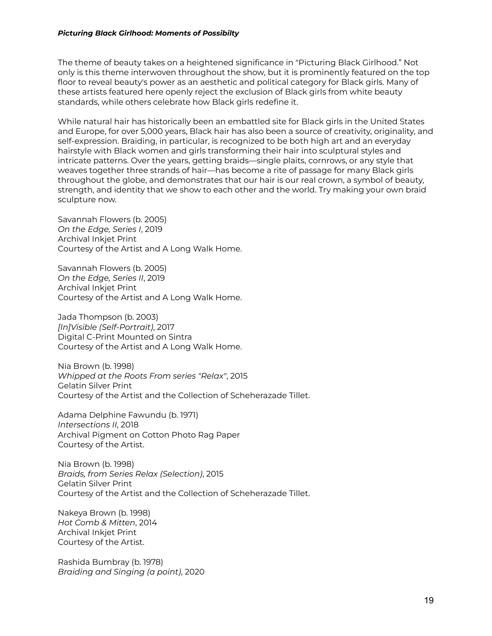The theme of beauty takes on a heightened significance in "Picturing Black Girlhood." Not only is this theme interwoven throughout the show, but it is prominently featured on the top floor to reveal beauty's power as an aesthetic and political category for Black girls. Many of these artists featured here openly reject the exclusion of Black girls from white beauty standards, while others celebrate how Black girls redefine it.

While natural hair has historically been an embattled site for Black girls in the United States and Europe, for over 5,000 years, Black hair has also been a source of creativity, originality, and self-expression. Braiding, in particular, is recognized to be both high art and an everyday hairstyle with Black women and girls transforming their hair into sculptural styles and intricate patterns. Over the years, getting braids—single plaits, cornrows, or any style that weaves together three strands of hair—has become a rite of passage for many Black girls throughout the globe, and demonstrates that our hair is our real crown, a symbol of beauty, strength, and identity that we show to each other and the world. Try making your own braid sculpture now.

Savannah Flowers (b. 2005) *On the Edge, Series I*, 2019 Archival Inkjet Print Courtesy of the Artist and A Long Walk Home.

Savannah Flowers (b. 2005) *On the Edge, Series II*, 2019 Archival Inkjet Print Courtesy of the Artist and A Long Walk Home.

Jada Thompson (b. 2003) *[In]Visible (Self-Portrait)*, 2017 Digital C-Print Mounted on Sintra Courtesy of the Artist and A Long Walk Home.

Nia Brown (b. 1998) *Whipped at the Roots From series "Relax"*, 2015 Gelatin Silver Print Courtesy of the Artist and the Collection of Scheherazade Tillet.

Adama Delphine Fawundu (b. 1971) *Intersections II*, 2018 Archival Pigment on Cotton Photo Rag Paper Courtesy of the Artist.

Nia Brown (b. 1998) *Braids, from Series Relax (Selection)*, 2015 Gelatin Silver Print Courtesy of the Artist and the Collection of Scheherazade Tillet.

Nakeya Brown (b. 1998) *Hot Comb & Mitten*, 2014 Archival Inkjet Print Courtesy of the Artist.

Rashida Bumbray (b. 1978) *Braiding and Singing (a point)*, 2020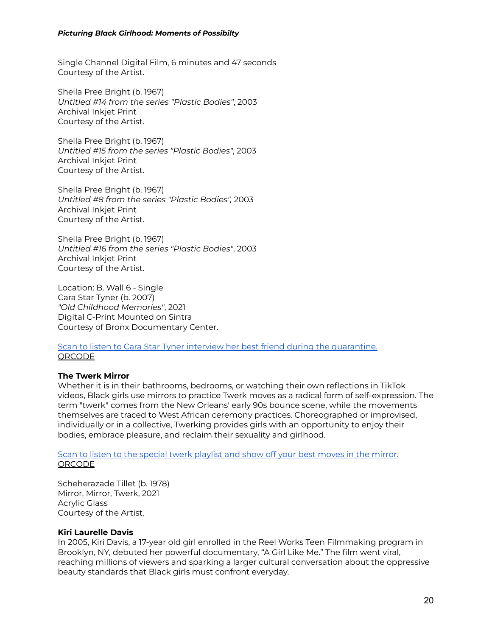Single Channel Digital Film, 6 minutes and 47 seconds Courtesy of the Artist.

Sheila Pree Bright (b. 1967) *Untitled #14 from the series "Plastic Bodies"*, 2003 Archival Inkjet Print Courtesy of the Artist.

Sheila Pree Bright (b. 1967) *Untitled #15 from the series "Plastic Bodies"*, 2003 Archival Inkjet Print Courtesy of the Artist.

Sheila Pree Bright (b. 1967) *Untitled #8 from the series "Plastic Bodies",* 2003 Archival Inkjet Print Courtesy of the Artist.

Sheila Pree Bright (b. 1967) *Untitled #16 from the series "Plastic Bodies"*, 2003 Archival Inkjet Print Courtesy of the Artist.

Location: B. Wall 6 - Single Cara Star Tyner (b. 2007) *"Old Childhood Memories"*, 2021 Digital C-Print Mounted on Sintra Courtesy of Bronx Documentary Center.

Scan to listen to Cara Star Tyner interview her best friend during the [quarantine.](https://soundcloud.com/bronx-documentary-center/savannah-juste-quarantine-interview-with-mom) [QRCODE](https://drive.google.com/file/d/1vtsnXEhcBftVkhiIfQ6cUkOOwIsrzBHE/view?usp=sharing)

### **The Twerk Mirror**

Whether it is in their bathrooms, bedrooms, or watching their own reflections in TikTok videos, Black girls use mirrors to practice Twerk moves as a radical form of self-expression. The term "twerk" comes from the New Orleans' early 90s bounce scene, while the movements themselves are traced to West African ceremony practices. Choreographed or improvised, individually or in a collective, Twerking provides girls with an opportunity to enjoy their bodies, embrace pleasure, and reclaim their sexuality and girlhood.

Scan to listen to the special twerk [playlist](https://open.spotify.com/playlist/5KiZMHw5Iueddp7KNHjDNk?si=eToi3APHSyWY88Xb5znR_Q) and show off your best moves in the mirror. [QRCODE](https://drive.google.com/file/d/1VW2KYZppSe6Yf-Dezff_U-t9M1EBQP1o/view?usp=sharing)

Scheherazade Tillet (b. 1978) Mirror, Mirror, Twerk, 2021 Acrylic Glass Courtesy of the Artist.

#### **Kiri Laurelle Davis**

In 2005, Kiri Davis, a 17-year old girl enrolled in the Reel Works Teen Filmmaking program in Brooklyn, NY, debuted her powerful documentary, "A Girl Like Me." The film went viral, reaching millions of viewers and sparking a larger cultural conversation about the oppressive beauty standards that Black girls must confront everyday.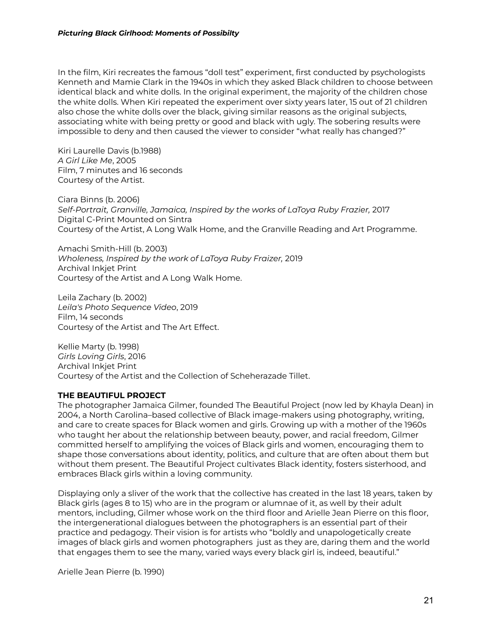In the film, Kiri recreates the famous "doll test" experiment, first conducted by psychologists Kenneth and Mamie Clark in the 1940s in which they asked Black children to choose between identical black and white dolls. In the original experiment, the majority of the children chose the white dolls. When Kiri repeated the experiment over sixty years later, 15 out of 21 children also chose the white dolls over the black, giving similar reasons as the original subjects, associating white with being pretty or good and black with ugly. The sobering results were impossible to deny and then caused the viewer to consider "what really has changed?"

Kiri Laurelle Davis (b.1988) *A Girl Like Me*, 2005 Film, 7 minutes and 16 seconds Courtesy of the Artist.

Ciara Binns (b. 2006) *Self-Portrait, Granville, Jamaica, Inspired by the works of LaToya Ruby Frazier,* 2017 Digital C-Print Mounted on Sintra Courtesy of the Artist, A Long Walk Home, and the Granville Reading and Art Programme.

Amachi Smith-Hill (b. 2003) *Wholeness, Inspired by the work of LaToya Ruby Fraizer,* 2019 Archival Inkjet Print Courtesy of the Artist and A Long Walk Home.

Leila Zachary (b. 2002) *Leila's Photo Sequence Video*, 2019 Film, 14 seconds Courtesy of the Artist and The Art Effect.

Kellie Marty (b. 1998) *Girls Loving Girls*, 2016 Archival Inkjet Print Courtesy of the Artist and the Collection of Scheherazade Tillet.

### **THE BEAUTIFUL PROJECT**

The photographer Jamaica Gilmer, founded The Beautiful Project (now led by Khayla Dean) in 2004, a North Carolina–based collective of Black image-makers using photography, writing, and care to create spaces for Black women and girls. Growing up with a mother of the 1960s who taught her about the relationship between beauty, power, and racial freedom, Gilmer committed herself to amplifying the voices of Black girls and women, encouraging them to shape those conversations about identity, politics, and culture that are often about them but without them present. The Beautiful Project cultivates Black identity, fosters sisterhood, and embraces Black girls within a loving community.

Displaying only a sliver of the work that the collective has created in the last 18 years, taken by Black girls (ages 8 to 15) who are in the program or alumnae of it, as well by their adult mentors, including, Gilmer whose work on the third floor and Arielle Jean Pierre on this floor, the intergenerational dialogues between the photographers is an essential part of their practice and pedagogy. Their vision is for artists who "boldly and unapologetically create images of black girls and women photographers just as they are, daring them and the world that engages them to see the many, varied ways every black girl is, indeed, beautiful."

Arielle Jean Pierre (b. 1990)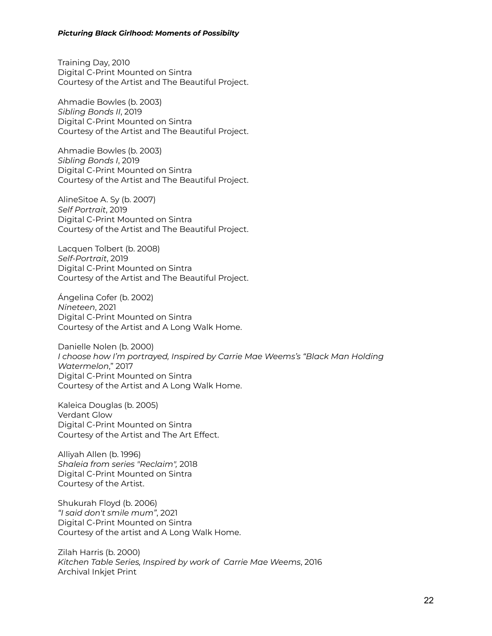Training Day, 2010 Digital C-Print Mounted on Sintra Courtesy of the Artist and The Beautiful Project.

Ahmadie Bowles (b. 2003) *Sibling Bonds II*, 2019 Digital C-Print Mounted on Sintra Courtesy of the Artist and The Beautiful Project.

Ahmadie Bowles (b. 2003) *Sibling Bonds I*, 2019 Digital C-Print Mounted on Sintra Courtesy of the Artist and The Beautiful Project.

AlineSitoe A. Sy (b. 2007) *Self Portrait*, 2019 Digital C-Print Mounted on Sintra Courtesy of the Artist and The Beautiful Project.

Lacquen Tolbert (b. 2008) *Self-Portrait*, 2019 Digital C-Print Mounted on Sintra Courtesy of the Artist and The Beautiful Project.

Ángelina Cofer (b. 2002) *Nineteen*, 2021 Digital C-Print Mounted on Sintra Courtesy of the Artist and A Long Walk Home.

Danielle Nolen (b. 2000) *I choose how I'm portrayed, Inspired by Carrie Mae Weems's "Black Man Holding Watermelon*," 2017 Digital C-Print Mounted on Sintra Courtesy of the Artist and A Long Walk Home.

Kaleica Douglas (b. 2005) Verdant Glow Digital C-Print Mounted on Sintra Courtesy of the Artist and The Art Effect.

Alliyah Allen (b. 1996) *Shaleia from series "Reclaim",* 2018 Digital C-Print Mounted on Sintra Courtesy of the Artist.

Shukurah Floyd (b. 2006) *"I said don't smile mum"*, 2021 Digital C-Print Mounted on Sintra Courtesy of the artist and A Long Walk Home.

Zilah Harris (b. 2000) *Kitchen Table Series, Inspired by work of Carrie Mae Weems*, 2016 Archival Inkjet Print